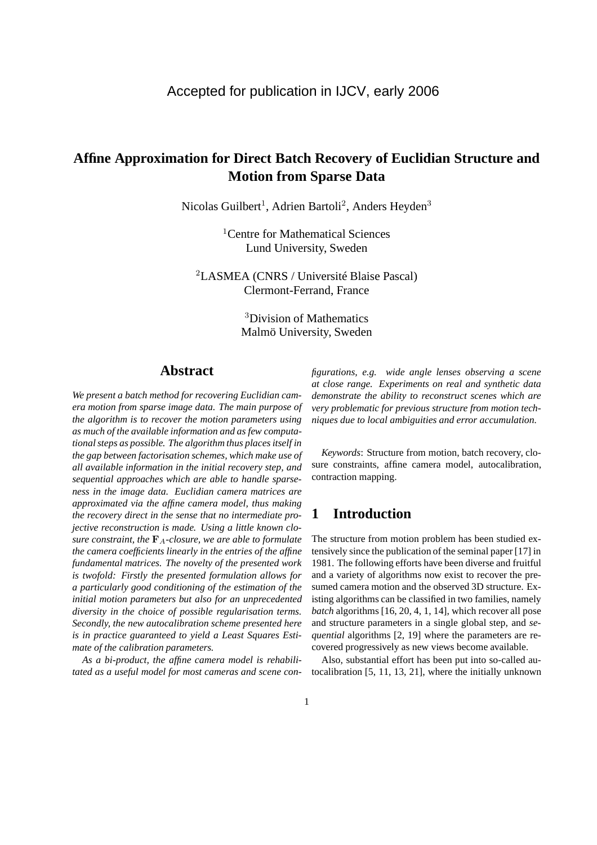# **Affine Approximation for Direct Batch Recovery of Euclidian Structure and Motion from Sparse Data**

Nicolas Guilbert<sup>1</sup>, Adrien Bartoli<sup>2</sup>, Anders Heyden<sup>3</sup>

<sup>1</sup>Centre for Mathematical Sciences Lund University, Sweden

<sup>2</sup>LASMEA (CNRS / Université Blaise Pascal) Clermont-Ferrand, France

> <sup>3</sup>Division of Mathematics Malmö University, Sweden

# **Abstract**

*We present a batch method for recovering Euclidian camera motion from sparse image data. The main purpose of the algorithm is to recover the motion parameters using as much of the available information and as few computational steps as possible. The algorithm thus places itself in the gap between factorisation schemes, which make use of all available information in the initial recovery step, and sequential approaches which are able to handle sparseness in the image data. Euclidian camera matrices are approximated via the affine camera model, thus making the recovery direct in the sense that no intermediate projective reconstruction is made. Using a little known closure constraint, the*  $\mathbf{F}_A$ -closure, we are able to formulate *the camera coefficients linearly in the entries of the affine fundamental matrices. The novelty of the presented work is twofold: Firstly the presented formulation allows for a particularly good conditioning of the estimation of the initial motion parameters but also for an unprecedented diversity in the choice of possible regularisation terms. Secondly, the new autocalibration scheme presented here is in practice guaranteed to yield a Least Squares Estimate of the calibration parameters.*

*As a bi-product, the affine camera model is rehabilitated as a useful model for most cameras and scene con-* *figurations, e.g. wide angle lenses observing a scene at close range. Experiments on real and synthetic data demonstrate the ability to reconstruct scenes which are very problematic for previous structure from motion techniques due to local ambiguities and error accumulation.*

*Keywords*: Structure from motion, batch recovery, closure constraints, affine camera model, autocalibration, contraction mapping.

# **1 Introduction**

The structure from motion problem has been studied extensively since the publication of the seminal paper [17] in 1981. The following efforts have been diverse and fruitful and a variety of algorithms now exist to recover the presumed camera motion and the observed 3D structure. Existing algorithms can be classified in two families, namely *batch* algorithms [16, 20, 4, 1, 14], which recover all pose and structure parameters in a single global step, and *sequential* algorithms [2, 19] where the parameters are recovered progressively as new views become available.

Also, substantial effort has been put into so-called autocalibration [5, 11, 13, 21], where the initially unknown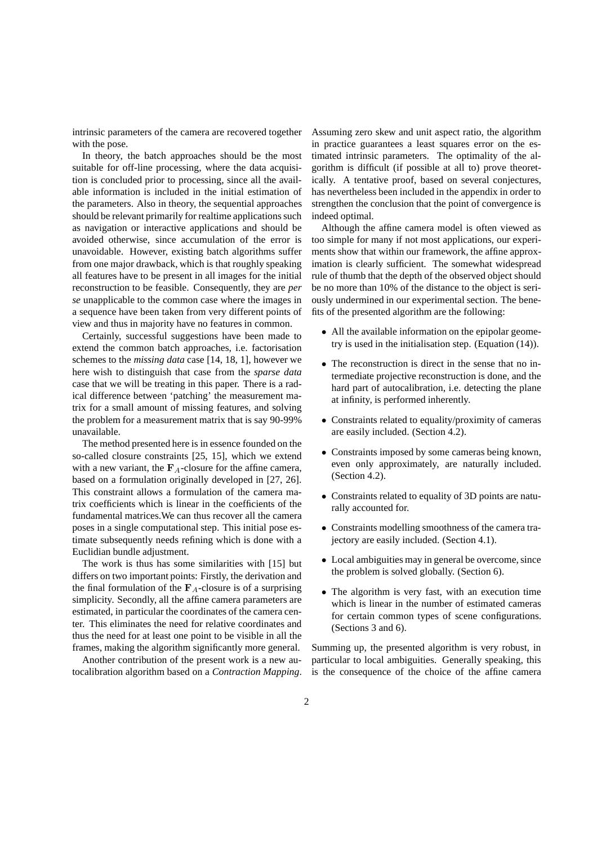intrinsic parameters of the camera are recovered together with the pose.

In theory, the batch approaches should be the most suitable for off-line processing, where the data acquisition is concluded prior to processing, since all the available information is included in the initial estimation of the parameters. Also in theory, the sequential approaches should be relevant primarily for realtime applications such as navigation or interactive applications and should be avoided otherwise, since accumulation of the error is unavoidable. However, existing batch algorithms suffer from one major drawback, which is that roughly speaking all features have to be present in all images for the initial reconstruction to be feasible. Consequently, they are *per se* unapplicable to the common case where the images in a sequence have been taken from very different points of view and thus in majority have no features in common.

Certainly, successful suggestions have been made to extend the common batch approaches, i.e. factorisation schemes to the *missing data* case [14, 18, 1], however we here wish to distinguish that case from the *sparse data* case that we will be treating in this paper. There is a radical difference between 'patching' the measurement matrix for a small amount of missing features, and solving the problem for a measurement matrix that is say 90-99% unavailable.

The method presented here is in essence founded on the so-called closure constraints [25, 15], which we extend with a new variant, the  $F_A$ -closure for the affine camera, based on a formulation originally developed in [27, 26]. This constraint allows a formulation of the camera matrix coefficients which is linear in the coefficients of the fundamental matrices.We can thus recover all the camera poses in a single computational step. This initial pose estimate subsequently needs refining which is done with a Euclidian bundle adjustment.

The work is thus has some similarities with [15] but differs on two important points: Firstly, the derivation and the final formulation of the  $\mathbf{F}_A$ -closure is of a surprising simplicity. Secondly, all the affine camera parameters are estimated, in particular the coordinates of the camera center. This eliminates the need for relative coordinates and thus the need for at least one point to be visible in all the frames, making the algorithm significantly more general.

Another contribution of the present work is a new autocalibration algorithm based on a *Contraction Mapping*. Assuming zero skew and unit aspect ratio, the algorithm in practice guarantees a least squares error on the estimated intrinsic parameters. The optimality of the algorithm is difficult (if possible at all to) prove theoretically. A tentative proof, based on several conjectures, has nevertheless been included in the appendix in order to strengthen the conclusion that the point of convergence is indeed optimal.

Although the affine camera model is often viewed as too simple for many if not most applications, our experiments show that within our framework, the affine approximation is clearly sufficient. The somewhat widespread rule of thumb that the depth of the observed object should be no more than 10% of the distance to the object is seriously undermined in our experimental section. The benefits of the presented algorithm are the following:

- All the available information on the epipolar geometry is used in the initialisation step. (Equation (14)).
- The reconstruction is direct in the sense that no intermediate projective reconstruction is done, and the hard part of autocalibration, i.e. detecting the plane at infinity, is performed inherently.
- Constraints related to equality/proximity of cameras are easily included. (Section 4.2).
- Constraints imposed by some cameras being known, even only approximately, are naturally included. (Section 4.2).
- Constraints related to equality of 3D points are naturally accounted for.
- Constraints modelling smoothness of the camera trajectory are easily included. (Section 4.1).
- Local ambiguities may in general be overcome, since the problem is solved globally. (Section 6).
- The algorithm is very fast, with an execution time which is linear in the number of estimated cameras for certain common types of scene configurations. (Sections 3 and 6).

Summing up, the presented algorithm is very robust, in particular to local ambiguities. Generally speaking, this is the consequence of the choice of the affine camera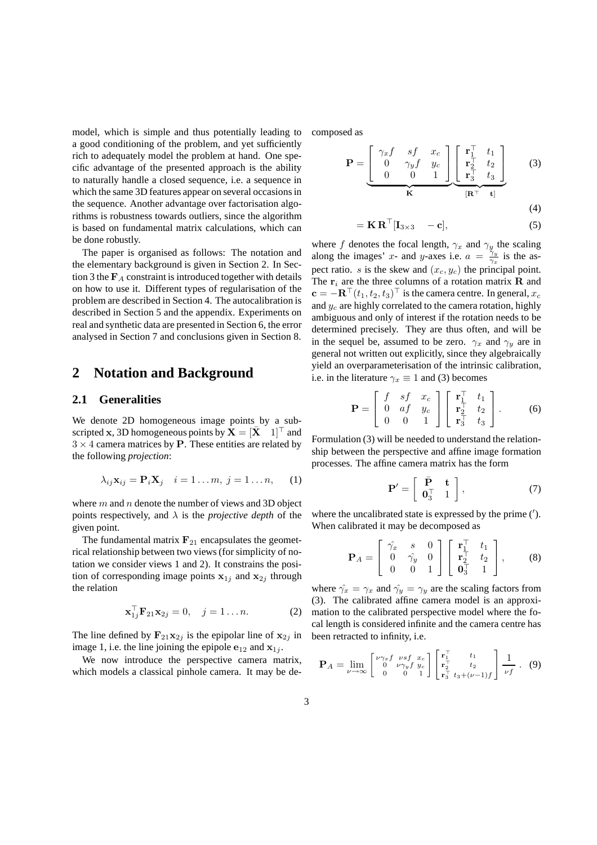model, which is simple and thus potentially leading to a good conditioning of the problem, and yet sufficiently rich to adequately model the problem at hand. One specific advantage of the presented approach is the ability to naturally handle a closed sequence, i.e. a sequence in which the same 3D features appear on several occasions in the sequence. Another advantage over factorisation algorithms is robustness towards outliers, since the algorithm is based on fundamental matrix calculations, which can be done robustly.

The paper is organised as follows: The notation and the elementary background is given in Section 2. In Section 3 the  $F_A$  constraint is introduced together with details on how to use it. Different types of regularisation of the problem are described in Section 4. The autocalibration is described in Section 5 and the appendix. Experiments on real and synthetic data are presented in Section 6, the error analysed in Section 7 and conclusions given in Section 8.

## **2 Notation and Background**

### **2.1 Generalities**

We denote 2D homogeneous image points by a subscripted x, 3D homogeneous points by  $X = [\bar{X} \quad 1]^\top$  and  $3 \times 4$  camera matrices by P. These entities are related by the following *projection*:

$$
\lambda_{ij}\mathbf{x}_{ij} = \mathbf{P}_i\mathbf{X}_j \quad i = 1 \dots m, \ j = 1 \dots n, \qquad (1)
$$

where  $m$  and  $n$  denote the number of views and 3D object points respectively, and  $\lambda$  is the *projective depth* of the given point.

The fundamental matrix  $\mathbf{F}_{21}$  encapsulates the geometrical relationship between two views (for simplicity of notation we consider views 1 and 2). It constrains the position of corresponding image points  $x_{1j}$  and  $x_{2j}$  through the relation

$$
\mathbf{x}_{1j}^{\top}\mathbf{F}_{21}\mathbf{x}_{2j}=0, \quad j=1...n.
$$
 (2)

The line defined by  $\mathbf{F}_{21}\mathbf{x}_{2j}$  is the epipolar line of  $\mathbf{x}_{2j}$  in image 1, i.e. the line joining the epipole  $e_{12}$  and  $x_{1j}$ .

We now introduce the perspective camera matrix, which models a classical pinhole camera. It may be decomposed as

$$
\mathbf{P} = \underbrace{\begin{bmatrix} \gamma_x f & sf & x_c \\ 0 & \gamma_y f & y_c \\ 0 & 0 & 1 \end{bmatrix}}_{\mathbf{K}} \underbrace{\begin{bmatrix} \mathbf{r}_1^{\top} & t_1 \\ \mathbf{r}_2^{\top} & t_2 \\ \mathbf{r}_3^{\top} & t_3 \end{bmatrix}}_{\mathbf{[R}^{\top} - \mathbf{t}]}
$$
(3)

$$
= \mathbf{K} \, \mathbf{R}^\top [\mathbf{I}_{3 \times 3} \quad -\mathbf{c}], \tag{5}
$$

where f denotes the focal length,  $\gamma_x$  and  $\gamma_y$  the scaling along the images' x- and y-axes i.e.  $a = \frac{\gamma_y}{\gamma}$  $\frac{\gamma_y}{\gamma_x}$  is the aspect ratio. s is the skew and  $(x_c, y_c)$  the principal point. The  $r_i$  are the three columns of a rotation matrix **R** and  $\mathbf{c} = -\mathbf{R}^\top (t_1, t_2, t_3)^\top$  is the camera centre. In general,  $x_c$ and  $y_c$  are highly correlated to the camera rotation, highly ambiguous and only of interest if the rotation needs to be determined precisely. They are thus often, and will be in the sequel be, assumed to be zero.  $\gamma_x$  and  $\gamma_y$  are in general not written out explicitly, since they algebraically yield an overparameterisation of the intrinsic calibration, i.e. in the literature  $\gamma_x \equiv 1$  and (3) becomes

$$
\mathbf{P} = \begin{bmatrix} f & sf & x_c \\ 0 & af & y_c \\ 0 & 0 & 1 \end{bmatrix} \begin{bmatrix} \mathbf{r}_1^{\top} & t_1 \\ \mathbf{r}_2^{\top} & t_2 \\ \mathbf{r}_3^{\top} & t_3 \end{bmatrix} .
$$
 (6)

Formulation (3) will be needed to understand the relationship between the perspective and affine image formation processes. The affine camera matrix has the form

$$
\mathbf{P}' = \left[ \begin{array}{cc} \bar{\mathbf{P}} & \mathbf{t} \\ \mathbf{0}_3^\top & 1 \end{array} \right],\tag{7}
$$

where the uncalibrated state is expressed by the prime (′ ). When calibrated it may be decomposed as

$$
\mathbf{P}_A = \begin{bmatrix} \hat{\gamma_x} & s & 0 \\ 0 & \hat{\gamma_y} & 0 \\ 0 & 0 & 1 \end{bmatrix} \begin{bmatrix} \mathbf{r}_1^{\top} & t_1 \\ \mathbf{r}_2^{\top} & t_2 \\ \mathbf{0}_3^{\top} & 1 \end{bmatrix}, \quad (8)
$$

where  $\hat{\gamma_x} = \gamma_x$  and  $\hat{\gamma_y} = \gamma_y$  are the scaling factors from (3). The calibrated affine camera model is an approximation to the calibrated perspective model where the focal length is considered infinite and the camera centre has been retracted to infinity, i.e.

$$
\mathbf{P}_A = \lim_{\nu \to \infty} \begin{bmatrix} \nu \gamma_x f & \nu s f & x_c \\ 0 & \nu \gamma_y f & y_c \\ 0 & 0 & 1 \end{bmatrix} \begin{bmatrix} \mathbf{r}_1^{\top} & t_1 \\ \mathbf{r}_2^{\top} & t_2 \\ \mathbf{r}_3^{\top} & t_3 + (\nu - 1)f \end{bmatrix} \frac{1}{\nu f} \ . \tag{9}
$$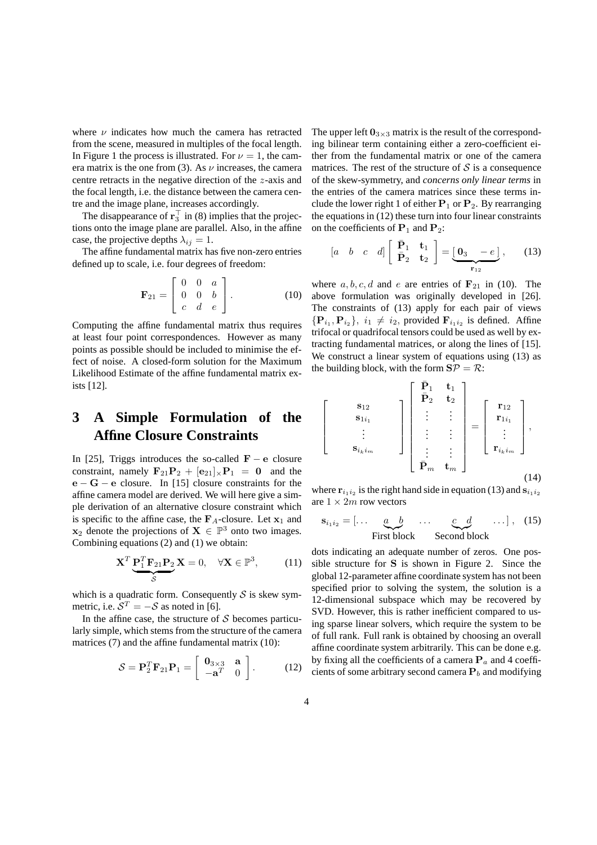where  $\nu$  indicates how much the camera has retracted from the scene, measured in multiples of the focal length. In Figure 1 the process is illustrated. For  $\nu = 1$ , the camera matrix is the one from (3). As  $\nu$  increases, the camera centre retracts in the negative direction of the z-axis and the focal length, i.e. the distance between the camera centre and the image plane, increases accordingly.

The disappearance of  $\mathbf{r}_3^{\top}$  in (8) implies that the projections onto the image plane are parallel. Also, in the affine case, the projective depths  $\lambda_{ij} = 1$ .

The affine fundamental matrix has five non-zero entries defined up to scale, i.e. four degrees of freedom:

$$
\mathbf{F}_{21} = \left[ \begin{array}{ccc} 0 & 0 & a \\ 0 & 0 & b \\ c & d & e \end{array} \right]. \tag{10}
$$

Computing the affine fundamental matrix thus requires at least four point correspondences. However as many points as possible should be included to minimise the effect of noise. A closed-form solution for the Maximum Likelihood Estimate of the affine fundamental matrix exists [12].

# **3 A Simple Formulation of the Affine Closure Constraints**

In [25], Triggs introduces the so-called  $\mathbf{F} - \mathbf{e}$  closure constraint, namely  $\mathbf{F}_{21}\mathbf{P}_2 + [\mathbf{e}_{21}]_{\times}\mathbf{P}_1 = \mathbf{0}$  and the  $e - G - e$  closure. In [15] closure constraints for the affine camera model are derived. We will here give a simple derivation of an alternative closure constraint which is specific to the affine case, the  $\mathbf{F}_A$ -closure. Let  $\mathbf{x}_1$  and  $x_2$  denote the projections of  $X \in \mathbb{P}^3$  onto two images. Combining equations (2) and (1) we obtain:

$$
\mathbf{X}^T \underbrace{\mathbf{P}_1^T \mathbf{F}_{21} \mathbf{P}_2}_{\mathcal{S}} \mathbf{X} = 0, \quad \forall \mathbf{X} \in \mathbb{P}^3, \tag{11}
$$

which is a quadratic form. Consequently  $S$  is skew symmetric, i.e.  $S^T = -S$  as noted in [6].

In the affine case, the structure of  $S$  becomes particularly simple, which stems from the structure of the camera matrices (7) and the affine fundamental matrix (10):

$$
\mathcal{S} = \mathbf{P}_2^T \mathbf{F}_{21} \mathbf{P}_1 = \begin{bmatrix} \mathbf{0}_{3 \times 3} & \mathbf{a} \\ -\mathbf{a}^T & 0 \end{bmatrix} . \tag{12}
$$

The upper left  $0_{3\times 3}$  matrix is the result of the corresponding bilinear term containing either a zero-coefficient either from the fundamental matrix or one of the camera matrices. The rest of the structure of  $S$  is a consequence of the skew-symmetry, and *concerns only linear terms* in the entries of the camera matrices since these terms include the lower right 1 of either  $P_1$  or  $P_2$ . By rearranging the equations in (12) these turn into four linear constraints on the coefficients of  $P_1$  and  $P_2$ :

$$
\begin{bmatrix} a & b & c & d \end{bmatrix} \begin{bmatrix} \bar{\mathbf{P}}_1 & \mathbf{t}_1 \\ \bar{\mathbf{P}}_2 & \mathbf{t}_2 \end{bmatrix} = \underbrace{\begin{bmatrix} \mathbf{0}_3 & -e \end{bmatrix}}_{\mathbf{r}_{12}},\tag{13}
$$

where  $a, b, c, d$  and e are entries of  $\mathbf{F}_{21}$  in (10). The above formulation was originally developed in [26]. The constraints of (13) apply for each pair of views  ${P_{i_1}, P_{i_2}}$ ,  $i_1 \neq i_2$ , provided  $F_{i_1 i_2}$  is defined. Affine trifocal or quadrifocal tensors could be used as well by extracting fundamental matrices, or along the lines of [15]. We construct a linear system of equations using (13) as the building block, with the form  $S\mathcal{P} = \mathcal{R}$ :

$$
\begin{bmatrix}\n\mathbf{s}_{12} \\
\mathbf{s}_{1i_1} \\
\vdots \\
\mathbf{s}_{i_k i_m}\n\end{bmatrix}\n\begin{bmatrix}\n\bar{P}_1 & \mathbf{t}_1 \\
\bar{P}_2 & \mathbf{t}_2 \\
\vdots & \vdots \\
\vdots & \vdots \\
\bar{P}_m & \mathbf{t}_m\n\end{bmatrix}\n=\n\begin{bmatrix}\n\mathbf{r}_{12} \\
\mathbf{r}_{1i_1} \\
\vdots \\
\mathbf{r}_{i_k i_m}\n\end{bmatrix},
$$
\n(14)

where  $\mathbf{r}_{i_1 i_2}$  is the right hand side in equation (13) and  $\mathbf{s}_{i_1 i_2}$ are  $1 \times 2m$  row vectors

$$
\mathbf{s}_{i_1 i_2} = [\dots \underbrace{a \quad b}_{\text{First block}} \dots \underbrace{c \quad d}_{\text{Second block}} \dots], \quad (15)
$$

dots indicating an adequate number of zeros. One possible structure for S is shown in Figure 2. Since the global 12-parameter affine coordinate system has not been specified prior to solving the system, the solution is a 12-dimensional subspace which may be recovered by SVD. However, this is rather inefficient compared to using sparse linear solvers, which require the system to be of full rank. Full rank is obtained by choosing an overall affine coordinate system arbitrarily. This can be done e.g. by fixing all the coefficients of a camera  $P_a$  and 4 coefficients of some arbitrary second camera  $P_b$  and modifying

 $\sqrt{ }$  $\overline{1}$  $\overline{1}$  $\overline{1}$  $\overline{1}$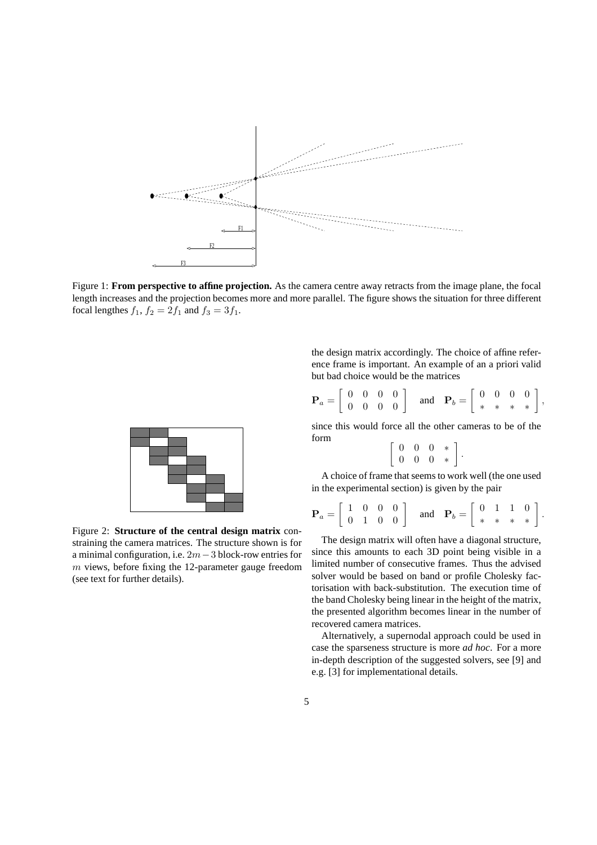

Figure 1: **From perspective to affine projection.** As the camera centre away retracts from the image plane, the focal length increases and the projection becomes more and more parallel. The figure shows the situation for three different focal lengthes  $f_1$ ,  $f_2 = 2f_1$  and  $f_3 = 3f_1$ .



Figure 2: **Structure of the central design matrix** constraining the camera matrices. The structure shown is for a minimal configuration, i.e. 2m−3 block-row entries for  $m$  views, before fixing the 12-parameter gauge freedom (see text for further details).

the design matrix accordingly. The choice of affine reference frame is important. An example of an a priori valid but bad choice would be the matrices

$$
\mathbf{P}_a = \left[ \begin{array}{cccc} 0 & 0 & 0 & 0 \\ 0 & 0 & 0 & 0 \end{array} \right] \quad \text{and} \quad \mathbf{P}_b = \left[ \begin{array}{cccc} 0 & 0 & 0 & 0 \\ * & * & * & * \end{array} \right],
$$

since this would force all the other cameras to be of the form

$$
\left[\begin{array}{cccc} 0 & 0 & 0 & * \\ 0 & 0 & 0 & * \end{array}\right].
$$

A choice of frame that seems to work well (the one used in the experimental section) is given by the pair

$$
\mathbf{P}_a = \left[ \begin{array}{cccc} 1 & 0 & 0 & 0 \\ 0 & 1 & 0 & 0 \end{array} \right] \quad \text{and} \quad \mathbf{P}_b = \left[ \begin{array}{cccc} 0 & 1 & 1 & 0 \\ * & * & * & * \end{array} \right].
$$

The design matrix will often have a diagonal structure, since this amounts to each 3D point being visible in a limited number of consecutive frames. Thus the advised solver would be based on band or profile Cholesky factorisation with back-substitution. The execution time of the band Cholesky being linear in the height of the matrix, the presented algorithm becomes linear in the number of recovered camera matrices.

Alternatively, a supernodal approach could be used in case the sparseness structure is more *ad hoc*. For a more in-depth description of the suggested solvers, see [9] and e.g. [3] for implementational details.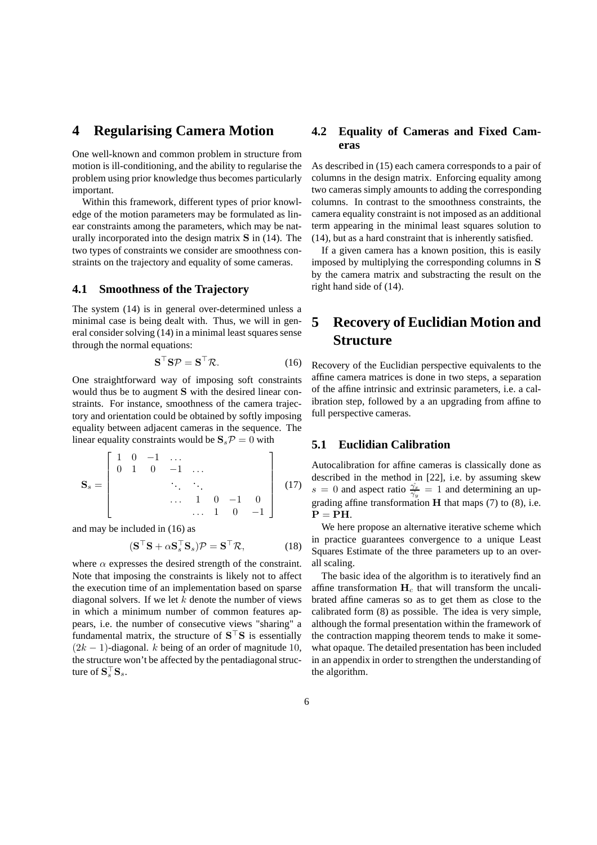# **4 Regularising Camera Motion**

One well-known and common problem in structure from motion is ill-conditioning, and the ability to regularise the problem using prior knowledge thus becomes particularly important.

Within this framework, different types of prior knowledge of the motion parameters may be formulated as linear constraints among the parameters, which may be naturally incorporated into the design matrix S in (14). The two types of constraints we consider are smoothness constraints on the trajectory and equality of some cameras.

#### **4.1 Smoothness of the Trajectory**

The system (14) is in general over-determined unless a minimal case is being dealt with. Thus, we will in general consider solving (14) in a minimal least squares sense through the normal equations:

$$
\mathbf{S}^{\top} \mathbf{S} \mathcal{P} = \mathbf{S}^{\top} \mathcal{R}.
$$
 (16)

One straightforward way of imposing soft constraints would thus be to augment S with the desired linear constraints. For instance, smoothness of the camera trajectory and orientation could be obtained by softly imposing equality between adjacent cameras in the sequence. The linear equality constraints would be  $S_s \mathcal{P} = 0$  with

$$
\mathbf{S}_s = \begin{bmatrix} 1 & 0 & -1 & \dots & & & \\ 0 & 1 & 0 & -1 & \dots & & \\ & & \ddots & \ddots & & \\ & & & \ddots & 1 & 0 & -1 & 0 \\ & & & & \dots & 1 & 0 & -1 \end{bmatrix}
$$
 (17)

and may be included in (16) as

$$
(\mathbf{S}^{\top}\mathbf{S} + \alpha \mathbf{S}_s^{\top}\mathbf{S}_s)\mathcal{P} = \mathbf{S}^{\top}\mathcal{R},\tag{18}
$$

where  $\alpha$  expresses the desired strength of the constraint. Note that imposing the constraints is likely not to affect the execution time of an implementation based on sparse diagonal solvers. If we let  $k$  denote the number of views in which a minimum number of common features appears, i.e. the number of consecutive views "sharing" a fundamental matrix, the structure of  $S^{\top}S$  is essentially  $(2k - 1)$ -diagonal. k being of an order of magnitude 10, the structure won't be affected by the pentadiagonal structure of  $S_s^{\top}$  $S_s$ .

## **4.2 Equality of Cameras and Fixed Cameras**

As described in (15) each camera corresponds to a pair of columns in the design matrix. Enforcing equality among two cameras simply amounts to adding the corresponding columns. In contrast to the smoothness constraints, the camera equality constraint is not imposed as an additional term appearing in the minimal least squares solution to (14), but as a hard constraint that is inherently satisfied.

If a given camera has a known position, this is easily imposed by multiplying the corresponding columns in S by the camera matrix and substracting the result on the right hand side of (14).

# **5 Recovery of Euclidian Motion and Structure**

Recovery of the Euclidian perspective equivalents to the affine camera matrices is done in two steps, a separation of the affine intrinsic and extrinsic parameters, i.e. a calibration step, followed by a an upgrading from affine to full perspective cameras.

## **5.1 Euclidian Calibration**

Autocalibration for affine cameras is classically done as described in the method in [22], i.e. by assuming skew  $s = 0$  and aspect ratio  $\frac{\hat{\gamma}_x}{\hat{\gamma}_y} = 1$  and determining an upgrading affine transformation  $H$  that maps (7) to (8), i.e.  $P = PH$ .

We here propose an alternative iterative scheme which in practice guarantees convergence to a unique Least Squares Estimate of the three parameters up to an overall scaling.

The basic idea of the algorithm is to iteratively find an affine transformation  $H_c$  that will transform the uncalibrated affine cameras so as to get them as close to the calibrated form (8) as possible. The idea is very simple, although the formal presentation within the framework of the contraction mapping theorem tends to make it somewhat opaque. The detailed presentation has been included in an appendix in order to strengthen the understanding of the algorithm.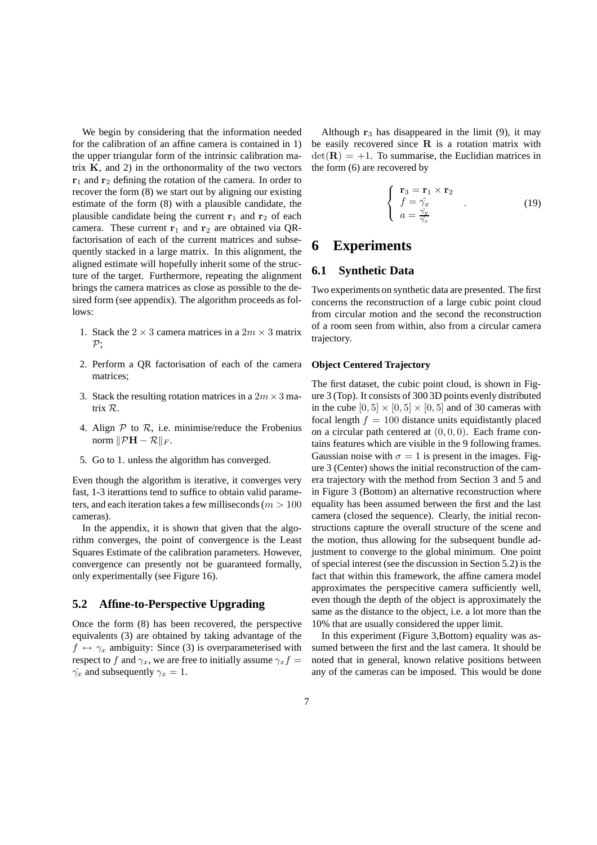We begin by considering that the information needed for the calibration of an affine camera is contained in 1) the upper triangular form of the intrinsic calibration matrix  $K$ , and 2) in the orthonormality of the two vectors  $r_1$  and  $r_2$  defining the rotation of the camera. In order to recover the form (8) we start out by aligning our existing estimate of the form (8) with a plausible candidate, the plausible candidate being the current  $r_1$  and  $r_2$  of each camera. These current  $r_1$  and  $r_2$  are obtained via QRfactorisation of each of the current matrices and subsequently stacked in a large matrix. In this alignment, the aligned estimate will hopefully inherit some of the structure of the target. Furthermore, repeating the alignment brings the camera matrices as close as possible to the desired form (see appendix). The algorithm proceeds as follows:

- 1. Stack the  $2 \times 3$  camera matrices in a  $2m \times 3$  matrix  $\mathcal{P}$ ;
- 2. Perform a QR factorisation of each of the camera matrices;
- 3. Stack the resulting rotation matrices in a  $2m \times 3$  matrix R.
- 4. Align  $P$  to  $R$ , i.e. minimise/reduce the Frobenius norm  $\|\mathcal{P}H - \mathcal{R}\|_F$ .
- 5. Go to 1. unless the algorithm has converged.

Even though the algorithm is iterative, it converges very fast, 1-3 iterattions tend to suffice to obtain valid parameters, and each iteration takes a few milliseconds ( $m > 100$ cameras).

In the appendix, it is shown that given that the algorithm converges, the point of convergence is the Least Squares Estimate of the calibration parameters. However, convergence can presently not be guaranteed formally, only experimentally (see Figure 16).

### **5.2 Affine-to-Perspective Upgrading**

Once the form (8) has been recovered, the perspective equivalents (3) are obtained by taking advantage of the  $f \leftrightarrow \gamma_x$  ambiguity: Since (3) is overparameterised with respect to f and  $\gamma_x$ , we are free to initially assume  $\gamma_x f =$  $\hat{\gamma_x}$  and subsequently  $\gamma_x = 1$ .

Although  $r_3$  has disappeared in the limit (9), it may be easily recovered since  $R$  is a rotation matrix with  $det(\mathbf{R}) = +1$ . To summarise, the Euclidian matrices in the form (6) are recovered by

$$
\begin{cases}\n\mathbf{r}_3 = \mathbf{r}_1 \times \mathbf{r}_2 \\
f = \hat{\gamma}_x \\
a = \frac{\hat{\gamma}_y}{\hat{\gamma}_x}\n\end{cases} \tag{19}
$$

## **6 Experiments**

### **6.1 Synthetic Data**

Two experiments on synthetic data are presented. The first concerns the reconstruction of a large cubic point cloud from circular motion and the second the reconstruction of a room seen from within, also from a circular camera trajectory.

#### **Object Centered Trajectory**

The first dataset, the cubic point cloud, is shown in Figure 3 (Top). It consists of 300 3D points evenly distributed in the cube  $[0, 5] \times [0, 5] \times [0, 5]$  and of 30 cameras with focal length  $f = 100$  distance units equidistantly placed on a circular path centered at  $(0, 0, 0)$ . Each frame contains features which are visible in the 9 following frames. Gaussian noise with  $\sigma = 1$  is present in the images. Figure 3 (Center) shows the initial reconstruction of the camera trajectory with the method from Section 3 and 5 and in Figure 3 (Bottom) an alternative reconstruction where equality has been assumed between the first and the last camera (closed the sequence). Clearly, the initial reconstructions capture the overall structure of the scene and the motion, thus allowing for the subsequent bundle adjustment to converge to the global minimum. One point of special interest (see the discussion in Section 5.2) is the fact that within this framework, the affine camera model approximates the perspecitive camera sufficiently well, even though the depth of the object is approximately the same as the distance to the object, i.e. a lot more than the 10% that are usually considered the upper limit.

In this experiment (Figure 3,Bottom) equality was assumed between the first and the last camera. It should be noted that in general, known relative positions between any of the cameras can be imposed. This would be done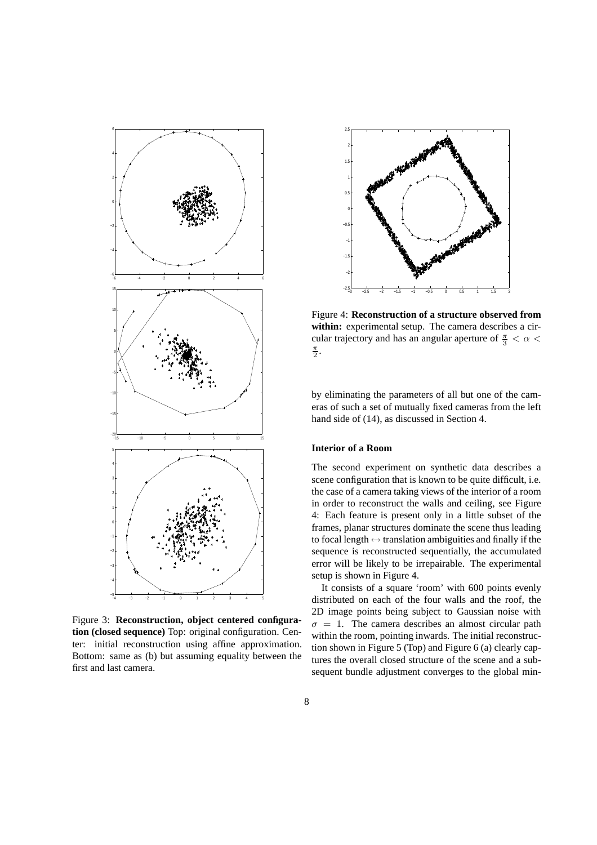

Figure 3: **Reconstruction, object centered configuration (closed sequence)** Top: original configuration. Center: initial reconstruction using affine approximation. Bottom: same as (b) but assuming equality between the first and last camera.



Figure 4: **Reconstruction of a structure observed from within:** experimental setup. The camera describes a circular trajectory and has an angular aperture of  $\frac{\pi}{3} < \alpha <$  $\frac{\pi}{2}$ .

by eliminating the parameters of all but one of the cameras of such a set of mutually fixed cameras from the left hand side of (14), as discussed in Section 4.

#### **Interior of a Room**

The second experiment on synthetic data describes a scene configuration that is known to be quite difficult, i.e. the case of a camera taking views of the interior of a room in order to reconstruct the walls and ceiling, see Figure 4: Each feature is present only in a little subset of the frames, planar structures dominate the scene thus leading to focal length  $\leftrightarrow$  translation ambiguities and finally if the sequence is reconstructed sequentially, the accumulated error will be likely to be irrepairable. The experimental setup is shown in Figure 4.

It consists of a square 'room' with 600 points evenly distributed on each of the four walls and the roof, the 2D image points being subject to Gaussian noise with  $\sigma = 1$ . The camera describes an almost circular path within the room, pointing inwards. The initial reconstruction shown in Figure 5 (Top) and Figure 6 (a) clearly captures the overall closed structure of the scene and a subsequent bundle adjustment converges to the global min-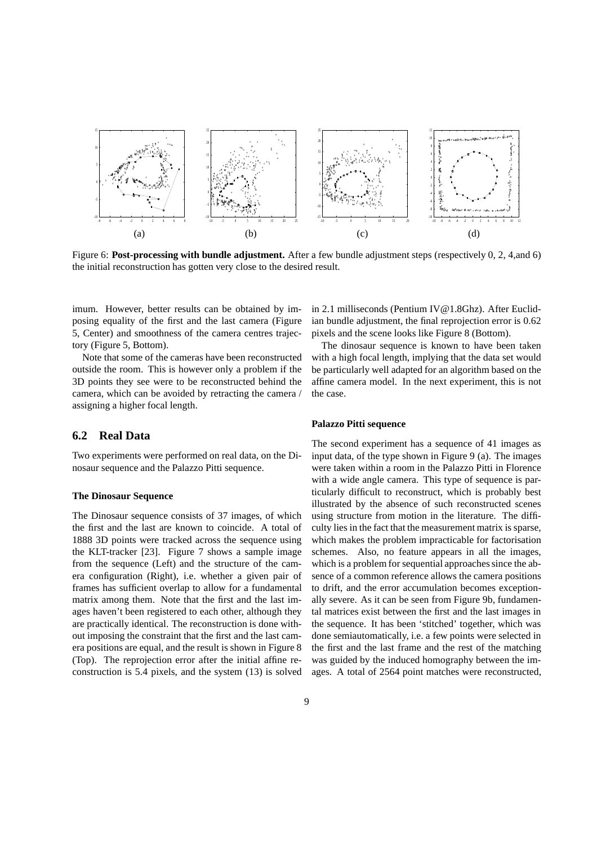

Figure 6: **Post-processing with bundle adjustment.** After a few bundle adjustment steps (respectively 0, 2, 4,and 6) the initial reconstruction has gotten very close to the desired result.

imum. However, better results can be obtained by imposing equality of the first and the last camera (Figure 5, Center) and smoothness of the camera centres trajectory (Figure 5, Bottom).

Note that some of the cameras have been reconstructed outside the room. This is however only a problem if the 3D points they see were to be reconstructed behind the camera, which can be avoided by retracting the camera / assigning a higher focal length.

## **6.2 Real Data**

Two experiments were performed on real data, on the Dinosaur sequence and the Palazzo Pitti sequence.

#### **The Dinosaur Sequence**

The Dinosaur sequence consists of 37 images, of which the first and the last are known to coincide. A total of 1888 3D points were tracked across the sequence using the KLT-tracker [23]. Figure 7 shows a sample image from the sequence (Left) and the structure of the camera configuration (Right), i.e. whether a given pair of frames has sufficient overlap to allow for a fundamental matrix among them. Note that the first and the last images haven't been registered to each other, although they are practically identical. The reconstruction is done without imposing the constraint that the first and the last camera positions are equal, and the result is shown in Figure 8 (Top). The reprojection error after the initial affine reconstruction is 5.4 pixels, and the system (13) is solved in 2.1 milliseconds (Pentium IV@1.8Ghz). After Euclidian bundle adjustment, the final reprojection error is 0.62 pixels and the scene looks like Figure 8 (Bottom).

The dinosaur sequence is known to have been taken with a high focal length, implying that the data set would be particularly well adapted for an algorithm based on the affine camera model. In the next experiment, this is not the case.

#### **Palazzo Pitti sequence**

The second experiment has a sequence of 41 images as input data, of the type shown in Figure 9 (a). The images were taken within a room in the Palazzo Pitti in Florence with a wide angle camera. This type of sequence is particularly difficult to reconstruct, which is probably best illustrated by the absence of such reconstructed scenes using structure from motion in the literature. The difficulty lies in the fact that the measurement matrix is sparse, which makes the problem impracticable for factorisation schemes. Also, no feature appears in all the images, which is a problem for sequential approaches since the absence of a common reference allows the camera positions to drift, and the error accumulation becomes exceptionally severe. As it can be seen from Figure 9b, fundamental matrices exist between the first and the last images in the sequence. It has been 'stitched' together, which was done semiautomatically, i.e. a few points were selected in the first and the last frame and the rest of the matching was guided by the induced homography between the images. A total of 2564 point matches were reconstructed,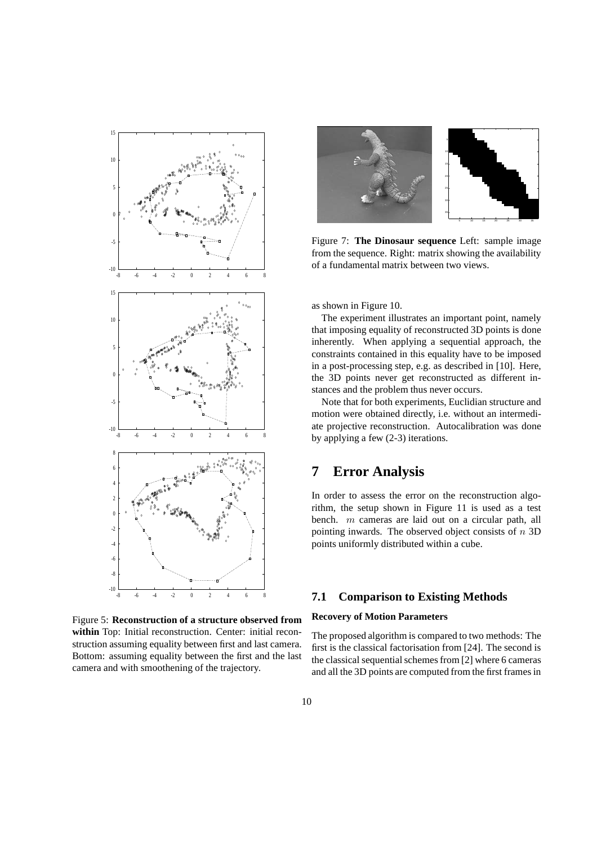

Figure 5: **Reconstruction of a structure observed from within** Top: Initial reconstruction. Center: initial reconstruction assuming equality between first and last camera. Bottom: assuming equality between the first and the last camera and with smoothening of the trajectory.



Figure 7: **The Dinosaur sequence** Left: sample image from the sequence. Right: matrix showing the availability of a fundamental matrix between two views.

as shown in Figure 10.

The experiment illustrates an important point, namely that imposing equality of reconstructed 3D points is done inherently. When applying a sequential approach, the constraints contained in this equality have to be imposed in a post-processing step, e.g. as described in [10]. Here, the 3D points never get reconstructed as different instances and the problem thus never occurs.

Note that for both experiments, Euclidian structure and motion were obtained directly, i.e. without an intermediate projective reconstruction. Autocalibration was done by applying a few (2-3) iterations.

# **7 Error Analysis**

In order to assess the error on the reconstruction algorithm, the setup shown in Figure 11 is used as a test bench. m cameras are laid out on a circular path, all pointing inwards. The observed object consists of  $n$  3D points uniformly distributed within a cube.

## **7.1 Comparison to Existing Methods**

#### **Recovery of Motion Parameters**

The proposed algorithm is compared to two methods: The first is the classical factorisation from [24]. The second is the classical sequential schemes from [2] where 6 cameras and all the 3D points are computed from the first frames in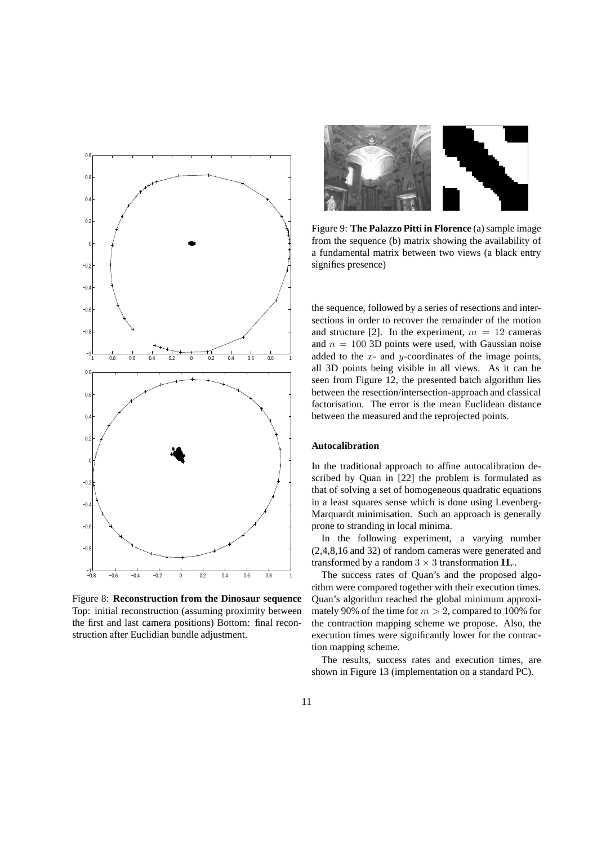

Figure 8: **Reconstruction from the Dinosaur sequence** Top: initial reconstruction (assuming proximity between the first and last camera positions) Bottom: final reconstruction after Euclidian bundle adjustment.



Figure 9: **The Palazzo Pitti in Florence** (a) sample image from the sequence (b) matrix showing the availability of a fundamental matrix between two views (a black entry signifies presence)

the sequence, followed by a series of resections and intersections in order to recover the remainder of the motion and structure [2]. In the experiment,  $m = 12$  cameras and  $n = 100$  3D points were used, with Gaussian noise added to the  $x$ - and  $y$ -coordinates of the image points, all 3D points being visible in all views. As it can be seen from Figure 12, the presented batch algorithm lies between the resection/intersection-approach and classical factorisation. The error is the mean Euclidean distance between the measured and the reprojected points.

#### **Autocalibration**

In the traditional approach to affine autocalibration described by Quan in [22] the problem is formulated as that of solving a set of homogeneous quadratic equations in a least squares sense which is done using Levenberg-Marquardt minimisation. Such an approach is generally prone to stranding in local minima.

In the following experiment, a varying number (2,4,8,16 and 32) of random cameras were generated and transformed by a random  $3 \times 3$  transformation  $\mathbf{H}_r$ .

The success rates of Quan's and the proposed algorithm were compared together with their execution times. Quan's algorithm reached the global minimum approximately 90% of the time for  $m > 2$ , compared to 100% for the contraction mapping scheme we propose. Also, the execution times were significantly lower for the contraction mapping scheme.

The results, success rates and execution times, are shown in Figure 13 (implementation on a standard PC).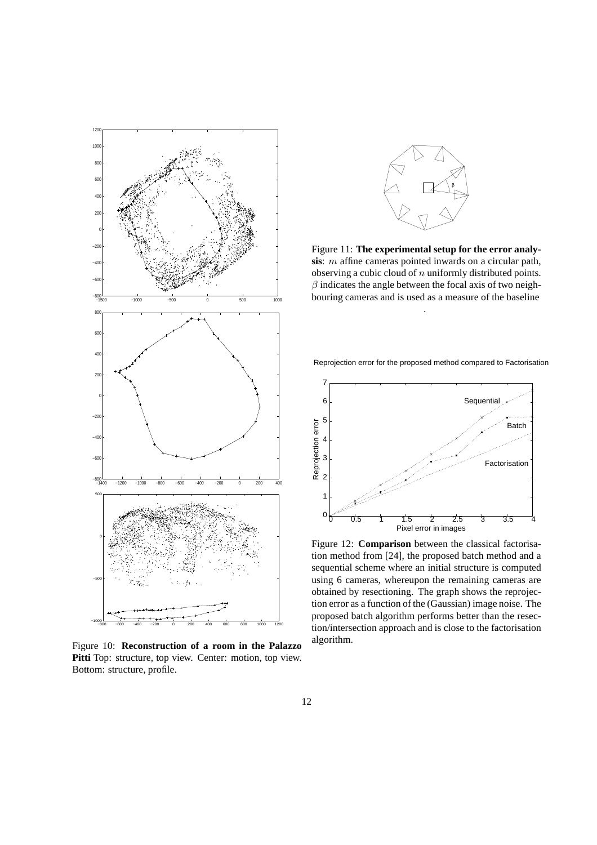

Figure 10: **Reconstruction of a room in the Palazzo Pitti** Top: structure, top view. Center: motion, top view. Bottom: structure, profile.



Figure 11: **The experimental setup for the error analysis**: m affine cameras pointed inwards on a circular path, observing a cubic cloud of  $n$  uniformly distributed points.  $\beta$  indicates the angle between the focal axis of two neighbouring cameras and is used as a measure of the baseline

.



Reprojection error for the proposed method compared to Factorisation

Figure 12: **Comparison** between the classical factorisation method from [24], the proposed batch method and a sequential scheme where an initial structure is computed using 6 cameras, whereupon the remaining cameras are obtained by resectioning. The graph shows the reprojection error as a function of the (Gaussian) image noise. The proposed batch algorithm performs better than the resection/intersection approach and is close to the factorisation algorithm.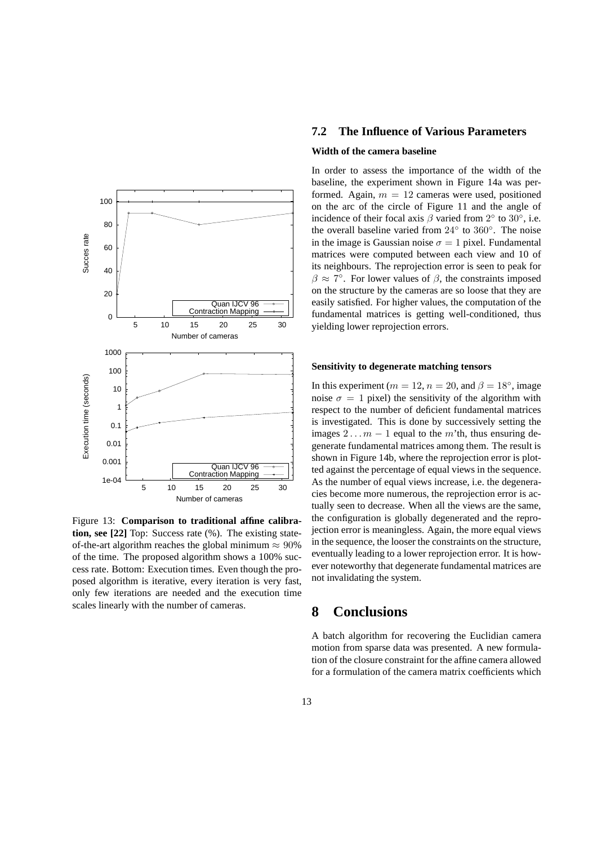

Figure 13: **Comparison to traditional affine calibration, see [22]** Top: Success rate (%). The existing stateof-the-art algorithm reaches the global minimum  $\approx 90\%$ of the time. The proposed algorithm shows a 100% success rate. Bottom: Execution times. Even though the proposed algorithm is iterative, every iteration is very fast, only few iterations are needed and the execution time scales linearly with the number of cameras.

## **7.2 The Influence of Various Parameters**

#### **Width of the camera baseline**

In order to assess the importance of the width of the baseline, the experiment shown in Figure 14a was performed. Again,  $m = 12$  cameras were used, positioned on the arc of the circle of Figure 11 and the angle of incidence of their focal axis  $\beta$  varied from  $2^{\circ}$  to  $30^{\circ}$ , i.e. the overall baseline varied from 24◦ to 360◦ . The noise in the image is Gaussian noise  $\sigma = 1$  pixel. Fundamental matrices were computed between each view and 10 of its neighbours. The reprojection error is seen to peak for  $\beta \approx 7^{\circ}$ . For lower values of  $\beta$ , the constraints imposed on the structure by the cameras are so loose that they are easily satisfied. For higher values, the computation of the fundamental matrices is getting well-conditioned, thus yielding lower reprojection errors.

#### **Sensitivity to degenerate matching tensors**

In this experiment ( $m = 12$ ,  $n = 20$ , and  $\beta = 18^\circ$ , image noise  $\sigma = 1$  pixel) the sensitivity of the algorithm with respect to the number of deficient fundamental matrices is investigated. This is done by successively setting the images  $2 \dots m - 1$  equal to the m'th, thus ensuring degenerate fundamental matrices among them. The result is shown in Figure 14b, where the reprojection error is plotted against the percentage of equal views in the sequence. As the number of equal views increase, i.e. the degeneracies become more numerous, the reprojection error is actually seen to decrease. When all the views are the same, the configuration is globally degenerated and the reprojection error is meaningless. Again, the more equal views in the sequence, the looser the constraints on the structure, eventually leading to a lower reprojection error. It is however noteworthy that degenerate fundamental matrices are not invalidating the system.

# **8 Conclusions**

A batch algorithm for recovering the Euclidian camera motion from sparse data was presented. A new formulation of the closure constraint for the affine camera allowed for a formulation of the camera matrix coefficients which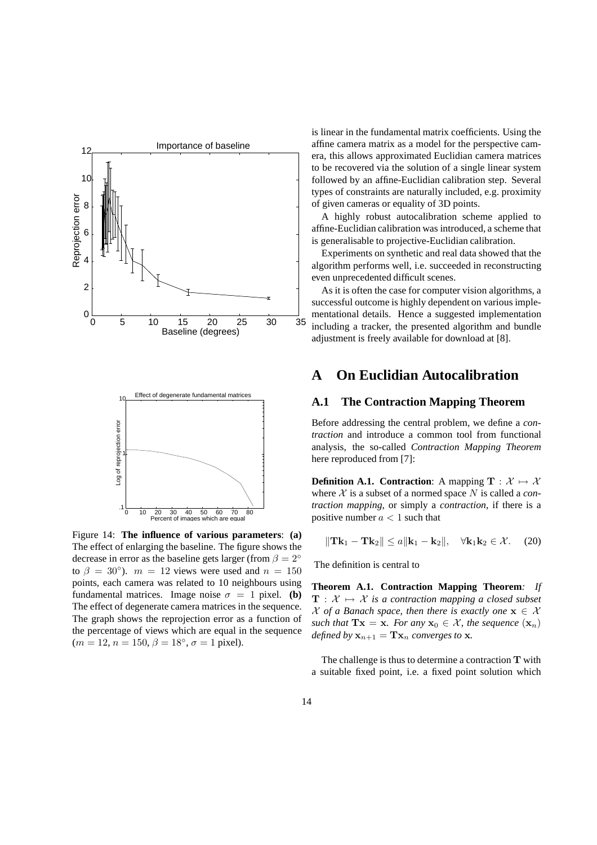

Figure 14: **The influence of various parameters**: **(a)** The effect of enlarging the baseline. The figure shows the decrease in error as the baseline gets larger (from  $\beta = 2^\circ$ to  $\beta = 30^{\circ}$ ).  $m = 12$  views were used and  $n = 150$ points, each camera was related to 10 neighbours using fundamental matrices. Image noise  $\sigma = 1$  pixel. **(b)** The effect of degenerate camera matrices in the sequence. The graph shows the reprojection error as a function of the percentage of views which are equal in the sequence  $(m = 12, n = 150, \beta = 18^{\circ}, \sigma = 1$  pixel).

is linear in the fundamental matrix coefficients. Using the affine camera matrix as a model for the perspective camera, this allows approximated Euclidian camera matrices to be recovered via the solution of a single linear system followed by an affine-Euclidian calibration step. Several types of constraints are naturally included, e.g. proximity of given cameras or equality of 3D points.

A highly robust autocalibration scheme applied to affine-Euclidian calibration was introduced, a scheme that is generalisable to projective-Euclidian calibration.

Experiments on synthetic and real data showed that the algorithm performs well, i.e. succeeded in reconstructing even unprecedented difficult scenes.

As it is often the case for computer vision algorithms, a successful outcome is highly dependent on various implementational details. Hence a suggested implementation including a tracker, the presented algorithm and bundle adjustment is freely available for download at [8].

# **A On Euclidian Autocalibration**

## **A.1 The Contraction Mapping Theorem**

Before addressing the central problem, we define a *contraction* and introduce a common tool from functional analysis, the so-called *Contraction Mapping Theorem* here reproduced from [7]:

**Definition A.1. Contraction:** A mapping  $T : \mathcal{X} \mapsto \mathcal{X}$ where  $X$  is a subset of a normed space N is called a *contraction mapping*, or simply a *contraction*, if there is a positive number  $a < 1$  such that

$$
\|\mathbf{Tk}_1 - \mathbf{Tk}_2\| \le a \|\mathbf{k}_1 - \mathbf{k}_2\|, \quad \forall \mathbf{k}_1 \mathbf{k}_2 \in \mathcal{X}.
$$
 (20)

The definition is central to

**Theorem A.1. Contraction Mapping Theorem***: If*  $T : \mathcal{X} \mapsto \mathcal{X}$  *is a contraction mapping a closed subset*  $\mathcal X$  *of a Banach space, then there is exactly one*  $\mathbf x \in \mathcal X$ *such that*  $\mathbf{T} \mathbf{x} = \mathbf{x}$ *. For any*  $\mathbf{x}_0 \in \mathcal{X}$ *, the sequence*  $(\mathbf{x}_n)$ *defined by*  $\mathbf{x}_{n+1} = \mathbf{T} \mathbf{x}_n$  *converges to*  $\mathbf{x}$ *.* 

The challenge is thus to determine a contraction  $T$  with a suitable fixed point, i.e. a fixed point solution which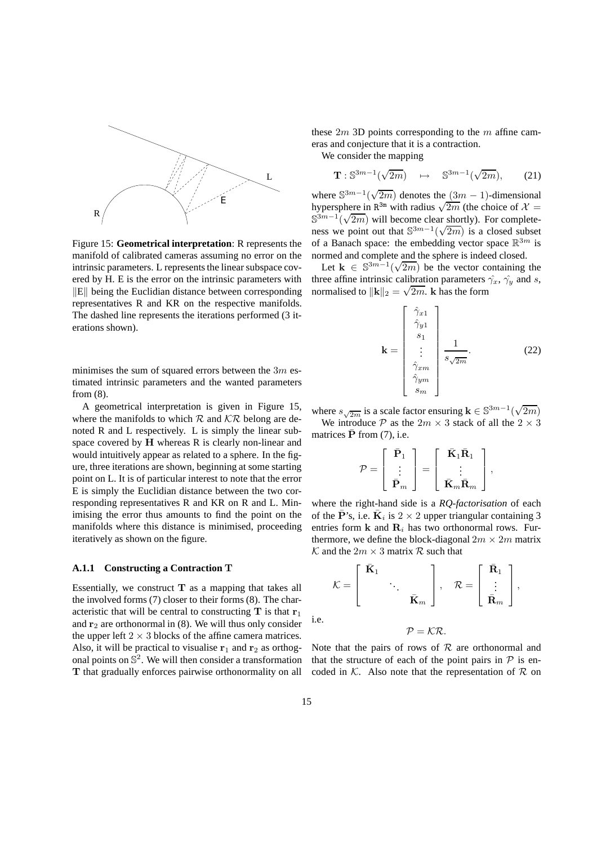

Figure 15: **Geometrical interpretation**: R represents the manifold of calibrated cameras assuming no error on the intrinsic parameters. L represents the linear subspace covered by H. E is the error on the intrinsic parameters with  $\Vert E \Vert$  being the Euclidian distance between corresponding representatives R and KR on the respective manifolds. The dashed line represents the iterations performed (3 iterations shown).

minimises the sum of squared errors between the  $3m$  estimated intrinsic parameters and the wanted parameters from (8).

A geometrical interpretation is given in Figure 15, where the manifolds to which  $R$  and  $\mathcal{K}\mathcal{R}$  belong are denoted R and L respectively. L is simply the linear subspace covered by H whereas R is clearly non-linear and would intuitively appear as related to a sphere. In the figure, three iterations are shown, beginning at some starting point on L. It is of particular interest to note that the error E is simply the Euclidian distance between the two corresponding representatives R and KR on R and L. Minimising the error thus amounts to find the point on the manifolds where this distance is minimised, proceeding iteratively as shown on the figure.

#### **A.1.1 Constructing a Contraction** T

Essentially, we construct  $T$  as a mapping that takes all the involved forms (7) closer to their forms (8). The characteristic that will be central to constructing  $T$  is that  $r_1$ and  $r_2$  are orthonormal in (8). We will thus only consider the upper left  $2 \times 3$  blocks of the affine camera matrices. Also, it will be practical to visualise  $r_1$  and  $r_2$  as orthogonal points on  $\mathbb{S}^2$ . We will then consider a transformation T that gradually enforces pairwise orthonormality on all these  $2m$  3D points corresponding to the m affine cameras and conjecture that it is a contraction.

We consider the mapping

$$
\mathbf{T}: \mathbb{S}^{3m-1}(\sqrt{2m}) \quad \mapsto \quad \mathbb{S}^{3m-1}(\sqrt{2m}), \qquad (21)
$$

where  $\mathbb{S}^{3m-1}(\sqrt{2m})$  denotes the  $(3m-1)$ -dimensional hypersphere in  $\mathbb{R}^{3m}$  with radius  $\sqrt{2m}$  (the choice of  $\mathcal{X} =$  $\mathbb{S}^{3m-1}(\sqrt{2m})$  will become clear shortly). For completeness we point out that  $\mathbb{S}^{3m-1}(\sqrt{2m})$  is a closed subset of a Banach space: the embedding vector space  $\mathbb{R}^{3m}$  is normed and complete and the sphere is indeed closed.

Let  $\mathbf{k} \in \mathbb{S}^{3m-1}(\sqrt{2m})$  be the vector containing the three affine intrinsic calibration parameters  $\hat{\gamma}_x$ ,  $\hat{\gamma}_y$  and s, normalised to  $\|\mathbf{k}\|_2 = \sqrt{2m}$ . **k** has the form

$$
\mathbf{k} = \begin{bmatrix} \hat{\gamma}_{x1} \\ \hat{\gamma}_{y1} \\ s_1 \\ \vdots \\ \hat{\gamma}_{xm} \\ \hat{\gamma}_{ym} \\ s_m \end{bmatrix} \frac{1}{s\sqrt{2m}}.
$$
 (22)

where  $s_{\sqrt{2m}}$  is a scale factor ensuring  $\mathbf{k} \in \mathbb{S}^{3m-1}(\sqrt{2m})$ We introduce P as the  $2m \times 3$  stack of all the  $2 \times 3$ matrices  $\bar{\mathbf{P}}$  from (7), i.e.

$$
\mathcal{P} = \left[ \begin{array}{c} \bar{\mathbf{P}}_1 \\ \vdots \\ \bar{\mathbf{P}}_m \end{array} \right] = \left[ \begin{array}{c} \bar{\mathbf{K}}_1 \bar{\mathbf{R}}_1 \\ \vdots \\ \bar{\mathbf{K}}_m \bar{\mathbf{R}}_m \end{array} \right],
$$

where the right-hand side is a *RQ-factorisation* of each of the  $\bar{\mathbf{P}}$ 's, i.e.  $\bar{\mathbf{K}}_i$  is  $2 \times 2$  upper triangular containing 3 entries form  $k$  and  $R_i$  has two orthonormal rows. Furthermore, we define the block-diagonal  $2m \times 2m$  matrix  $\mathcal K$  and the  $2m \times 3$  matrix  $\mathcal R$  such that

$$
\mathcal{K} = \begin{bmatrix} \bar{\mathbf{K}}_1 & & \\ & \ddots & \\ & & \bar{\mathbf{K}}_m \end{bmatrix}, \quad \mathcal{R} = \begin{bmatrix} \bar{\mathbf{R}}_1 \\ \vdots \\ \bar{\mathbf{R}}_m \end{bmatrix},
$$

$$
\mathcal{P} = \mathcal{K}\mathcal{R}.
$$

Note that the pairs of rows of  $R$  are orthonormal and that the structure of each of the point pairs in  $P$  is encoded in  $K$ . Also note that the representation of  $R$  on

i.e.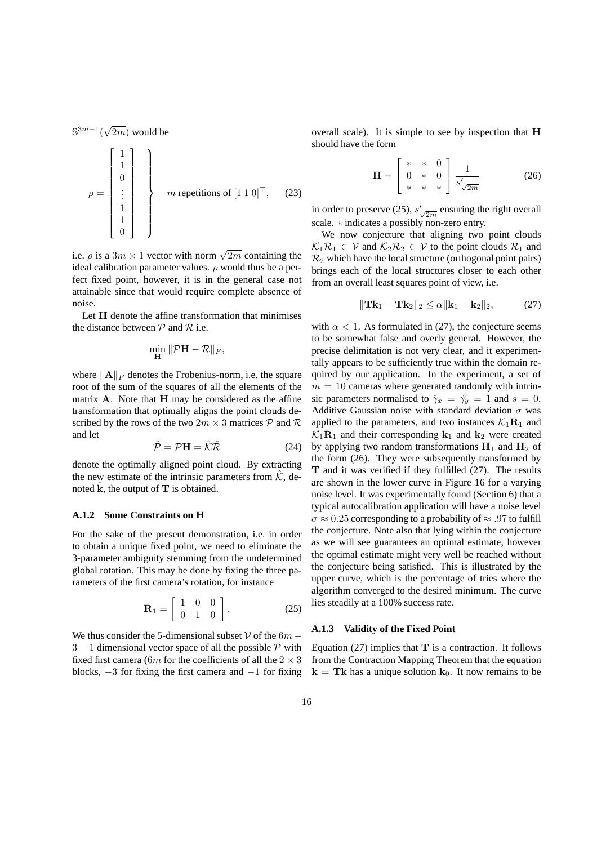$\mathbb{S}^{3m-1}(\sqrt{2m})$  would be

$$
\rho = \begin{bmatrix} 1 \\ 1 \\ 0 \\ \vdots \\ 1 \\ 0 \end{bmatrix} \quad m \text{ repetitions of } [1\ 1\ 0]^\top, \quad (23)
$$

i.e.  $\rho$  is a  $3m \times 1$  vector with norm  $\sqrt{2m}$  containing the ideal calibration parameter values.  $\rho$  would thus be a perfect fixed point, however, it is in the general case not attainable since that would require complete absence of noise.

Let H denote the affine transformation that minimises the distance between  $P$  and  $R$  i.e.

$$
\min_{\mathbf{H}} \|\mathcal{P}\mathbf{H} - \mathcal{R}\|_F,
$$

where  $\|\mathbf{A}\|_F$  denotes the Frobenius-norm, i.e. the square root of the sum of the squares of all the elements of the matrix A. Note that H may be considered as the affine transformation that optimally aligns the point clouds described by the rows of the two  $2m \times 3$  matrices  $P$  and  $R$ and let

$$
\hat{\mathcal{P}} = \mathcal{P}\mathbf{H} = \hat{\mathcal{K}}\hat{\mathcal{R}} \tag{24}
$$

denote the optimally aligned point cloud. By extracting the new estimate of the intrinsic parameters from  $\hat{K}$ , denoted  $\hat{k}$ , the output of  $T$  is obtained.

#### **A.1.2 Some Constraints on** H

For the sake of the present demonstration, i.e. in order to obtain a unique fixed point, we need to eliminate the 3-parameter ambiguity stemming from the undetermined global rotation. This may be done by fixing the three parameters of the first camera's rotation, for instance

$$
\bar{\mathbf{R}}_1 = \left[ \begin{array}{ccc} 1 & 0 & 0 \\ 0 & 1 & 0 \end{array} \right].\tag{25}
$$

We thus consider the 5-dimensional subset V of the  $6m 3 - 1$  dimensional vector space of all the possible P with fixed first camera (6m for the coefficients of all the  $2 \times 3$ blocks,  $-3$  for fixing the first camera and  $-1$  for fixing overall scale). It is simple to see by inspection that H should have the form

$$
\mathbf{H} = \begin{bmatrix} * & * & 0 \\ 0 & * & 0 \\ * & * & * \end{bmatrix} \frac{1}{s'_{\sqrt{2m}}} \tag{26}
$$

in order to preserve (25),  $s'_{\sqrt{2m}}$  ensuring the right overall scale. ∗ indicates a possibly non-zero entry.

We now conjecture that aligning two point clouds  $\mathcal{K}_1\mathcal{R}_1 \in \mathcal{V}$  and  $\mathcal{K}_2\mathcal{R}_2 \in \mathcal{V}$  to the point clouds  $\mathcal{R}_1$  and  $\mathcal{R}_2$  which have the local structure (orthogonal point pairs) brings each of the local structures closer to each other from an overall least squares point of view, i.e.

$$
\|\mathbf{Tk}_1 - \mathbf{Tk}_2\|_2 \le \alpha \|\mathbf{k}_1 - \mathbf{k}_2\|_2, \tag{27}
$$

with  $\alpha$  < 1. As formulated in (27), the conjecture seems to be somewhat false and overly general. However, the precise delimitation is not very clear, and it experimentally appears to be sufficiently true within the domain required by our application. In the experiment, a set of  $m = 10$  cameras where generated randomly with intrinsic parameters normalised to  $\hat{\gamma}_x = \hat{\gamma}_y = 1$  and  $s = 0$ . Additive Gaussian noise with standard deviation  $\sigma$  was applied to the parameters, and two instances  $\mathcal{K}_1 \overline{\mathbf{R}}_1$  and  $\widehat{k}_1 \overline{\mathbf{R}}_1$  and their corresponding  $\mathbf{k}_1$  and  $\mathbf{k}_2$  were created by applying two random transformations  $H_1$  and  $H_2$  of the form (26). They were subsequently transformed by T and it was verified if they fulfilled (27). The results are shown in the lower curve in Figure 16 for a varying noise level. It was experimentally found (Section 6) that a typical autocalibration application will have a noise level  $\sigma \approx 0.25$  corresponding to a probability of  $\approx .97$  to fulfill the conjecture. Note also that lying within the conjecture as we will see guarantees an optimal estimate, however the optimal estimate might very well be reached without the conjecture being satisfied. This is illustrated by the upper curve, which is the percentage of tries where the algorithm converged to the desired minimum. The curve lies steadily at a 100% success rate.

#### **A.1.3 Validity of the Fixed Point**

Equation  $(27)$  implies that **T** is a contraction. It follows from the Contraction Mapping Theorem that the equation  $k = Tk$  has a unique solution  $k_0$ . It now remains to be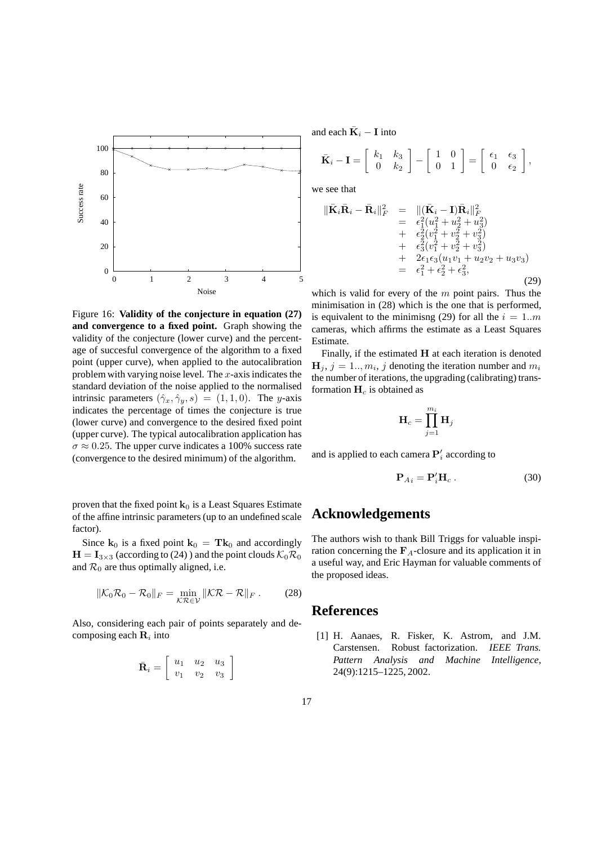

Figure 16: **Validity of the conjecture in equation (27) and convergence to a fixed point.** Graph showing the validity of the conjecture (lower curve) and the percentage of succesful convergence of the algorithm to a fixed point (upper curve), when applied to the autocalibration problem with varying noise level. The  $x$ -axis indicates the standard deviation of the noise applied to the normalised intrinsic parameters  $(\hat{\gamma}_x, \hat{\gamma}_y, s) = (1, 1, 0)$ . The y-axis indicates the percentage of times the conjecture is true (lower curve) and convergence to the desired fixed point (upper curve). The typical autocalibration application has  $\sigma \approx 0.25$ . The upper curve indicates a 100% success rate (convergence to the desired minimum) of the algorithm.

proven that the fixed point  $k_0$  is a Least Squares Estimate of the affine intrinsic parameters (up to an undefined scale factor).

Since  $\mathbf{k}_0$  is a fixed point  $\mathbf{k}_0 = \mathbf{T} \mathbf{k}_0$  and accordingly  $H = I_{3 \times 3}$  (according to (24)) and the point clouds  $\mathcal{K}_0 \mathcal{R}_0$ and  $\mathcal{R}_0$  are thus optimally aligned, i.e.

$$
\|\mathcal{K}_0\mathcal{R}_0 - \mathcal{R}_0\|_F = \min_{\mathcal{K}\mathcal{R}\in\mathcal{V}} \|\mathcal{K}\mathcal{R} - \mathcal{R}\|_F. \tag{28}
$$

Also, considering each pair of points separately and decomposing each  $\mathbf{R}_i$  into

| $\bar{\textbf{R}}_i =$ |       | $u_1$ $u_2$ $u_3$ | $\begin{array}{cc} u_2 & u_3 \\ v_2 & v_3 \end{array}$ |  |
|------------------------|-------|-------------------|--------------------------------------------------------|--|
|                        | $v_1$ |                   |                                                        |  |

and each  $\bar{\mathbf{K}}_i - \mathbf{I}$  into

$$
\bar{\mathbf{K}}_i - \mathbf{I} = \begin{bmatrix} k_1 & k_3 \\ 0 & k_2 \end{bmatrix} - \begin{bmatrix} 1 & 0 \\ 0 & 1 \end{bmatrix} = \begin{bmatrix} \epsilon_1 & \epsilon_3 \\ 0 & \epsilon_2 \end{bmatrix},
$$

we see that

$$
\begin{array}{rcl}\n\|\bar{\mathbf{K}}_i\bar{\mathbf{R}}_i - \bar{\mathbf{R}}_i\|_F^2 &=& \|\left(\bar{\mathbf{K}}_i - \mathbf{I}\right)\bar{\mathbf{R}}_i\|_F^2 \\
&=& \epsilon_1^2(u_1^2 + u_2^2 + u_3^2) \\
&+ & \epsilon_2^2(v_1^2 + v_2^2 + v_3^2) \\
&+ & \epsilon_3^2(v_1^2 + v_2^2 + v_3^2) \\
&+ & 2\epsilon_1\epsilon_3(u_1v_1 + u_2v_2 + u_3v_3) \\
&=& \epsilon_1^2 + \epsilon_2^2 + \epsilon_3^2,\n\end{array} \tag{29}
$$

which is valid for every of the  $m$  point pairs. Thus the minimisation in (28) which is the one that is performed, is equivalent to the minimisng (29) for all the  $i = 1..m$ cameras, which affirms the estimate as a Least Squares Estimate.

Finally, if the estimated  $H$  at each iteration is denoted  $H_j$ ,  $j = 1...$ ,  $m_i$ , j denoting the iteration number and  $m_i$ the number of iterations, the upgrading (calibrating) transformation  $H_c$  is obtained as

$$
\mathbf{H}_c = \prod_{j=1}^{m_i} \mathbf{H}_j
$$

and is applied to each camera  $\mathbf{P}'_i$  according to

$$
\mathbf{P}_{Ai} = \mathbf{P}'_i \mathbf{H}_c \,. \tag{30}
$$

# **Acknowledgements**

The authors wish to thank Bill Triggs for valuable inspiration concerning the  $\mathbf{F}_A$ -closure and its application it in a useful way, and Eric Hayman for valuable comments of the proposed ideas.

## **References**

[1] H. Aanaes, R. Fisker, K. Astrom, and J.M. Carstensen. Robust factorization. *IEEE Trans. Pattern Analysis and Machine Intelligence*, 24(9):1215–1225, 2002.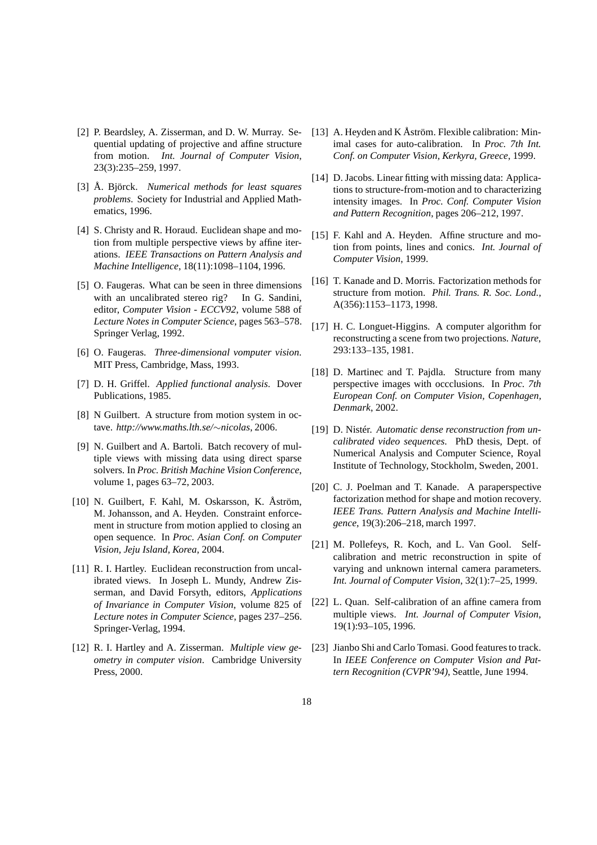- [2] P. Beardsley, A. Zisserman, and D. W. Murray. Sequential updating of projective and affine structure from motion. *Int. Journal of Computer Vision*, 23(3):235–259, 1997.
- [3] Å. Björck. *Numerical methods for least squares problems*. Society for Industrial and Applied Mathematics, 1996.
- [4] S. Christy and R. Horaud. Euclidean shape and motion from multiple perspective views by affine iterations. *IEEE Transactions on Pattern Analysis and Machine Intelligence*, 18(11):1098–1104, 1996.
- [5] O. Faugeras. What can be seen in three dimensions with an uncalibrated stereo rig? In G. Sandini, editor, *Computer Vision - ECCV92*, volume 588 of *Lecture Notes in Computer Science*, pages 563–578. Springer Verlag, 1992.
- [6] O. Faugeras. *Three-dimensional vomputer vision*. MIT Press, Cambridge, Mass, 1993.
- [7] D. H. Griffel. *Applied functional analysis*. Dover Publications, 1985.
- [8] N Guilbert. A structure from motion system in octave. *http://www.maths.lth.se/*∼*nicolas*, 2006.
- [9] N. Guilbert and A. Bartoli. Batch recovery of multiple views with missing data using direct sparse solvers. In *Proc. British Machine Vision Conference*, volume 1, pages 63–72, 2003.
- [10] N. Guilbert, F. Kahl, M. Oskarsson, K. Åström, M. Johansson, and A. Heyden. Constraint enforcement in structure from motion applied to closing an open sequence. In *Proc. Asian Conf. on Computer Vision, Jeju Island, Korea*, 2004.
- [11] R. I. Hartley. Euclidean reconstruction from uncalibrated views. In Joseph L. Mundy, Andrew Zisserman, and David Forsyth, editors, *Applications of Invariance in Computer Vision*, volume 825 of *Lecture notes in Computer Science*, pages 237–256. Springer-Verlag, 1994.
- [12] R. I. Hartley and A. Zisserman. *Multiple view geometry in computer vision*. Cambridge University Press, 2000.
- [13] A. Heyden and K Åström. Flexible calibration: Minimal cases for auto-calibration. In *Proc. 7th Int. Conf. on Computer Vision, Kerkyra, Greece*, 1999.
- [14] D. Jacobs. Linear fitting with missing data: Applications to structure-from-motion and to characterizing intensity images. In *Proc. Conf. Computer Vision and Pattern Recognition*, pages 206–212, 1997.
- [15] F. Kahl and A. Heyden. Affine structure and motion from points, lines and conics. *Int. Journal of Computer Vision*, 1999.
- [16] T. Kanade and D. Morris. Factorization methods for structure from motion. *Phil. Trans. R. Soc. Lond.*, A(356):1153–1173, 1998.
- [17] H. C. Longuet-Higgins. A computer algorithm for reconstructing a scene from two projections. *Nature*, 293:133–135, 1981.
- [18] D. Martinec and T. Pajdla. Structure from many perspective images with occclusions. In *Proc. 7th European Conf. on Computer Vision, Copenhagen, Denmark*, 2002.
- [19] D. Nistér. *Automatic dense reconstruction from uncalibrated video sequences*. PhD thesis, Dept. of Numerical Analysis and Computer Science, Royal Institute of Technology, Stockholm, Sweden, 2001.
- [20] C. J. Poelman and T. Kanade. A paraperspective factorization method for shape and motion recovery. *IEEE Trans. Pattern Analysis and Machine Intelligence*, 19(3):206–218, march 1997.
- [21] M. Pollefeys, R. Koch, and L. Van Gool. Selfcalibration and metric reconstruction in spite of varying and unknown internal camera parameters. *Int. Journal of Computer Vision*, 32(1):7–25, 1999.
- [22] L. Quan. Self-calibration of an affine camera from multiple views. *Int. Journal of Computer Vision*, 19(1):93–105, 1996.
- [23] Jianbo Shi and Carlo Tomasi. Good features to track. In *IEEE Conference on Computer Vision and Pattern Recognition (CVPR'94)*, Seattle, June 1994.